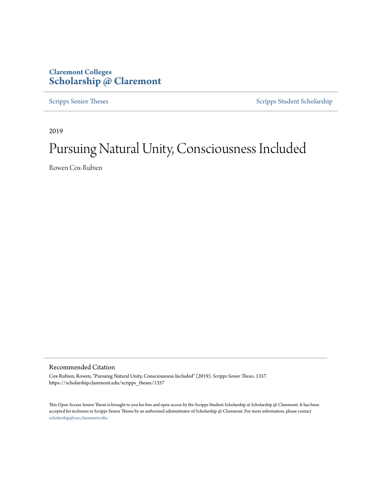## **Claremont Colleges [Scholarship @ Claremont](https://scholarship.claremont.edu)**

[Scripps Senior Theses](https://scholarship.claremont.edu/scripps_theses) [Scripps Student Scholarship](https://scholarship.claremont.edu/scripps_student)

2019

# Pursuing Natural Unity, Consciousness Included

Rowen Cox-Rubien

Recommended Citation

Cox-Rubien, Rowen, "Pursuing Natural Unity, Consciousness Included" (2019). *Scripps Senior Theses*. 1357. https://scholarship.claremont.edu/scripps\_theses/1357

This Open Access Senior Thesis is brought to you for free and open access by the Scripps Student Scholarship at Scholarship @ Claremont. It has been accepted for inclusion in Scripps Senior Theses by an authorized administrator of Scholarship @ Claremont. For more information, please contact [scholarship@cuc.claremont.edu.](mailto:scholarship@cuc.claremont.edu)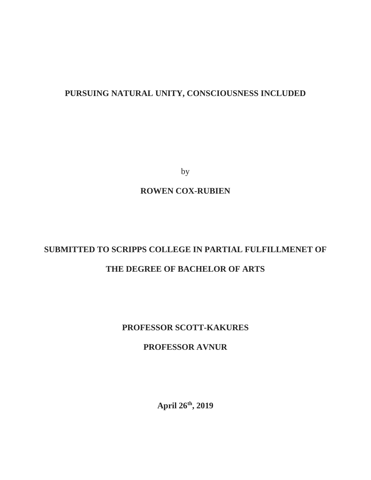## **PURSUING NATURAL UNITY, CONSCIOUSNESS INCLUDED**

by

## **ROWEN COX-RUBIEN**

## **SUBMITTED TO SCRIPPS COLLEGE IN PARTIAL FULFILLMENET OF**

## **THE DEGREE OF BACHELOR OF ARTS**

## **PROFESSOR SCOTT-KAKURES**

### **PROFESSOR AVNUR**

**April 26th, 2019**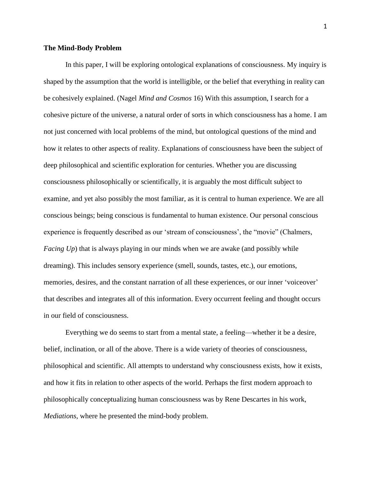#### **The Mind-Body Problem**

In this paper, I will be exploring ontological explanations of consciousness. My inquiry is shaped by the assumption that the world is intelligible, or the belief that everything in reality can be cohesively explained. (Nagel *Mind and Cosmos* 16) With this assumption, I search for a cohesive picture of the universe, a natural order of sorts in which consciousness has a home. I am not just concerned with local problems of the mind, but ontological questions of the mind and how it relates to other aspects of reality. Explanations of consciousness have been the subject of deep philosophical and scientific exploration for centuries. Whether you are discussing consciousness philosophically or scientifically, it is arguably the most difficult subject to examine, and yet also possibly the most familiar, as it is central to human experience. We are all conscious beings; being conscious is fundamental to human existence. Our personal conscious experience is frequently described as our 'stream of consciousness', the "movie" (Chalmers, *Facing Up*) that is always playing in our minds when we are awake (and possibly while dreaming). This includes sensory experience (smell, sounds, tastes, etc.), our emotions, memories, desires, and the constant narration of all these experiences, or our inner 'voiceover' that describes and integrates all of this information. Every occurrent feeling and thought occurs in our field of consciousness.

Everything we do seems to start from a mental state, a feeling—whether it be a desire, belief, inclination, or all of the above. There is a wide variety of theories of consciousness, philosophical and scientific. All attempts to understand why consciousness exists, how it exists, and how it fits in relation to other aspects of the world. Perhaps the first modern approach to philosophically conceptualizing human consciousness was by Rene Descartes in his work, *Mediations,* where he presented the mind-body problem.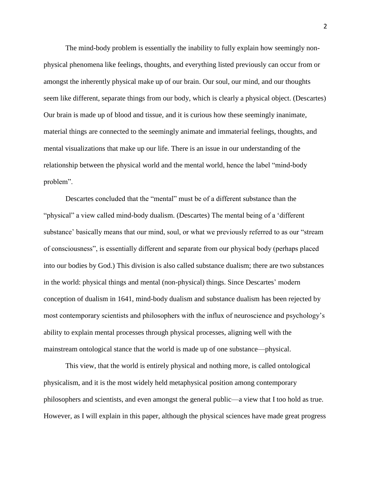The mind-body problem is essentially the inability to fully explain how seemingly nonphysical phenomena like feelings, thoughts, and everything listed previously can occur from or amongst the inherently physical make up of our brain. Our soul, our mind, and our thoughts seem like different, separate things from our body, which is clearly a physical object. (Descartes) Our brain is made up of blood and tissue, and it is curious how these seemingly inanimate, material things are connected to the seemingly animate and immaterial feelings, thoughts, and mental visualizations that make up our life. There is an issue in our understanding of the relationship between the physical world and the mental world, hence the label "mind-body problem".

Descartes concluded that the "mental" must be of a different substance than the "physical" a view called mind-body dualism. (Descartes) The mental being of a 'different substance' basically means that our mind, soul, or what we previously referred to as our "stream of consciousness", is essentially different and separate from our physical body (perhaps placed into our bodies by God.) This division is also called substance dualism; there are two substances in the world: physical things and mental (non-physical) things. Since Descartes' modern conception of dualism in 1641, mind-body dualism and substance dualism has been rejected by most contemporary scientists and philosophers with the influx of neuroscience and psychology's ability to explain mental processes through physical processes, aligning well with the mainstream ontological stance that the world is made up of one substance—physical.

This view, that the world is entirely physical and nothing more, is called ontological physicalism, and it is the most widely held metaphysical position among contemporary philosophers and scientists, and even amongst the general public—a view that I too hold as true. However, as I will explain in this paper, although the physical sciences have made great progress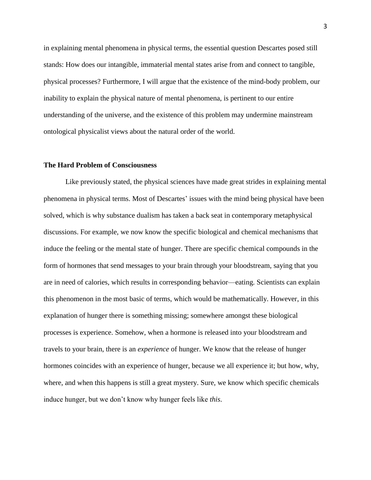in explaining mental phenomena in physical terms, the essential question Descartes posed still stands: How does our intangible, immaterial mental states arise from and connect to tangible, physical processes? Furthermore, I will argue that the existence of the mind-body problem, our inability to explain the physical nature of mental phenomena, is pertinent to our entire understanding of the universe, and the existence of this problem may undermine mainstream ontological physicalist views about the natural order of the world.

#### **The Hard Problem of Consciousness**

Like previously stated, the physical sciences have made great strides in explaining mental phenomena in physical terms. Most of Descartes' issues with the mind being physical have been solved, which is why substance dualism has taken a back seat in contemporary metaphysical discussions. For example, we now know the specific biological and chemical mechanisms that induce the feeling or the mental state of hunger. There are specific chemical compounds in the form of hormones that send messages to your brain through your bloodstream, saying that you are in need of calories, which results in corresponding behavior—eating. Scientists can explain this phenomenon in the most basic of terms, which would be mathematically. However, in this explanation of hunger there is something missing; somewhere amongst these biological processes is experience. Somehow, when a hormone is released into your bloodstream and travels to your brain, there is an *experience* of hunger. We know that the release of hunger hormones coincides with an experience of hunger, because we all experience it; but how, why, where, and when this happens is still a great mystery. Sure, we know which specific chemicals induce hunger, but we don't know why hunger feels like *this*.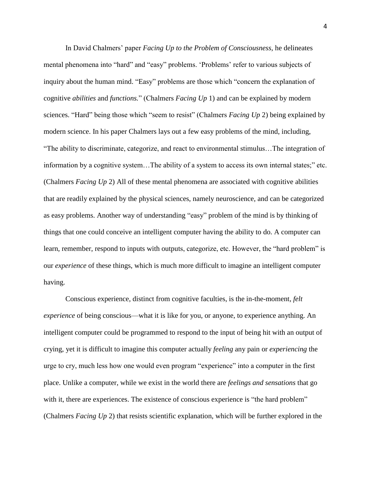In David Chalmers' paper *Facing Up to the Problem of Consciousness,* he delineates mental phenomena into "hard" and "easy" problems. 'Problems' refer to various subjects of inquiry about the human mind. "Easy" problems are those which "concern the explanation of cognitive *abilities* and *functions.*" (Chalmers *Facing Up* 1) and can be explained by modern sciences. "Hard" being those which "seem to resist" (Chalmers *Facing Up* 2) being explained by modern science. In his paper Chalmers lays out a few easy problems of the mind, including, "The ability to discriminate, categorize, and react to environmental stimulus…The integration of information by a cognitive system…The ability of a system to access its own internal states;" etc. (Chalmers *Facing Up* 2) All of these mental phenomena are associated with cognitive abilities that are readily explained by the physical sciences, namely neuroscience, and can be categorized as easy problems. Another way of understanding "easy" problem of the mind is by thinking of things that one could conceive an intelligent computer having the ability to do. A computer can learn, remember, respond to inputs with outputs, categorize, etc. However, the "hard problem" is our *experience* of these things, which is much more difficult to imagine an intelligent computer having.

Conscious experience, distinct from cognitive faculties, is the in-the-moment, *felt experience* of being conscious—what it is like for you, or anyone, to experience anything. An intelligent computer could be programmed to respond to the input of being hit with an output of crying, yet it is difficult to imagine this computer actually *feeling* any pain or *experiencing* the urge to cry, much less how one would even program "experience" into a computer in the first place. Unlike a computer, while we exist in the world there are *feelings and sensations* that go with it, there are experiences. The existence of conscious experience is "the hard problem" (Chalmers *Facing Up* 2) that resists scientific explanation, which will be further explored in the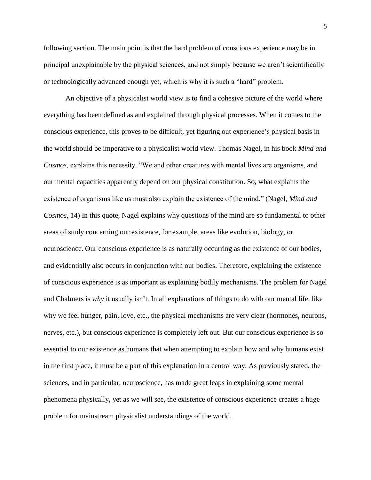following section. The main point is that the hard problem of conscious experience may be in principal unexplainable by the physical sciences, and not simply because we aren't scientifically or technologically advanced enough yet, which is why it is such a "hard" problem.

An objective of a physicalist world view is to find a cohesive picture of the world where everything has been defined as and explained through physical processes. When it comes to the conscious experience, this proves to be difficult, yet figuring out experience's physical basis in the world should be imperative to a physicalist world view. Thomas Nagel, in his book *Mind and Cosmos,* explains this necessity. "We and other creatures with mental lives are organisms, and our mental capacities apparently depend on our physical constitution. So, what explains the existence of organisms like us must also explain the existence of the mind." (Nagel, *Mind and Cosmos*, 14) In this quote, Nagel explains why questions of the mind are so fundamental to other areas of study concerning our existence, for example, areas like evolution, biology, or neuroscience. Our conscious experience is as naturally occurring as the existence of our bodies, and evidentially also occurs in conjunction with our bodies. Therefore, explaining the existence of conscious experience is as important as explaining bodily mechanisms. The problem for Nagel and Chalmers is *why* it usually isn't. In all explanations of things to do with our mental life, like why we feel hunger, pain, love, etc., the physical mechanisms are very clear (hormones, neurons, nerves, etc.), but conscious experience is completely left out. But our conscious experience is so essential to our existence as humans that when attempting to explain how and why humans exist in the first place, it must be a part of this explanation in a central way. As previously stated, the sciences, and in particular, neuroscience, has made great leaps in explaining some mental phenomena physically, yet as we will see, the existence of conscious experience creates a huge problem for mainstream physicalist understandings of the world.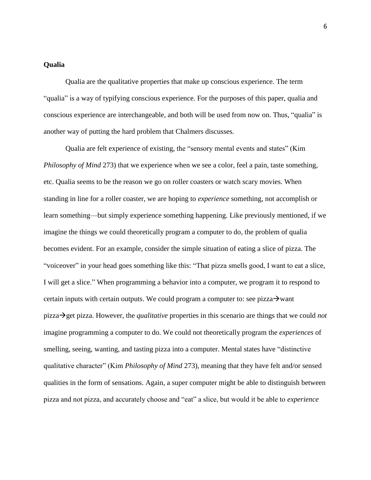#### **Qualia**

Qualia are the qualitative properties that make up conscious experience. The term "qualia" is a way of typifying conscious experience. For the purposes of this paper, qualia and conscious experience are interchangeable, and both will be used from now on. Thus, "qualia" is another way of putting the hard problem that Chalmers discusses.

Qualia are felt experience of existing, the "sensory mental events and states" (Kim *Philosophy of Mind* 273) that we experience when we see a color, feel a pain, taste something, etc. Qualia seems to be the reason we go on roller coasters or watch scary movies. When standing in line for a roller coaster, we are hoping to *experience* something, not accomplish or learn something—but simply experience something happening. Like previously mentioned, if we imagine the things we could theoretically program a computer to do, the problem of qualia becomes evident. For an example, consider the simple situation of eating a slice of pizza. The "voiceover" in your head goes something like this: "That pizza smells good, I want to eat a slice, I will get a slice." When programming a behavior into a computer, we program it to respond to certain inputs with certain outputs. We could program a computer to: see pizza $\rightarrow$ want pizza→get pizza. However, the *qualitative* properties in this scenario are things that we could *not*  imagine programming a computer to do. We could not theoretically program the *experiences* of smelling, seeing, wanting, and tasting pizza into a computer. Mental states have "distinctive qualitative character" (Kim *Philosophy of Mind* 273), meaning that they have felt and/or sensed qualities in the form of sensations. Again, a super computer might be able to distinguish between pizza and not pizza, and accurately choose and "eat" a slice, but would it be able to *experience*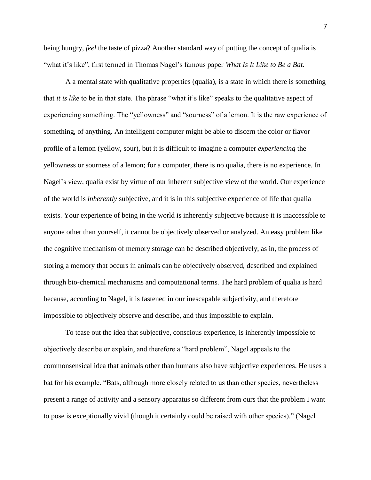being hungry, *feel* the taste of pizza? Another standard way of putting the concept of qualia is "what it's like", first termed in Thomas Nagel's famous paper *What Is It Like to Be a Bat.* 

A a mental state with qualitative properties (qualia), is a state in which there is something that *it is like* to be in that state. The phrase "what it's like" speaks to the qualitative aspect of experiencing something. The "yellowness" and "sourness" of a lemon. It is the raw experience of something, of anything. An intelligent computer might be able to discern the color or flavor profile of a lemon (yellow, sour), but it is difficult to imagine a computer *experiencing* the yellowness or sourness of a lemon; for a computer, there is no qualia, there is no experience. In Nagel's view, qualia exist by virtue of our inherent subjective view of the world. Our experience of the world is *inherently* subjective, and it is in this subjective experience of life that qualia exists. Your experience of being in the world is inherently subjective because it is inaccessible to anyone other than yourself, it cannot be objectively observed or analyzed. An easy problem like the cognitive mechanism of memory storage can be described objectively, as in, the process of storing a memory that occurs in animals can be objectively observed, described and explained through bio-chemical mechanisms and computational terms. The hard problem of qualia is hard because, according to Nagel, it is fastened in our inescapable subjectivity, and therefore impossible to objectively observe and describe, and thus impossible to explain.

To tease out the idea that subjective, conscious experience, is inherently impossible to objectively describe or explain, and therefore a "hard problem", Nagel appeals to the commonsensical idea that animals other than humans also have subjective experiences. He uses a bat for his example. "Bats, although more closely related to us than other species, nevertheless present a range of activity and a sensory apparatus so different from ours that the problem I want to pose is exceptionally vivid (though it certainly could be raised with other species)." (Nagel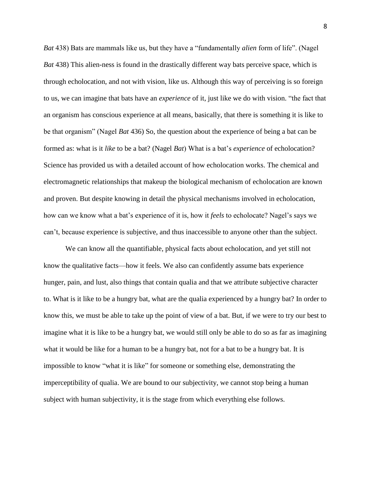*Bat* 438) Bats are mammals like us, but they have a "fundamentally *alien* form of life". (Nagel *Bat* 438) This alien-ness is found in the drastically different way bats perceive space, which is through echolocation, and not with vision, like us. Although this way of perceiving is so foreign to us, we can imagine that bats have an *experience* of it, just like we do with vision. "the fact that an organism has conscious experience at all means, basically, that there is something it is like to be that organism" (Nagel *Bat* 436) So, the question about the experience of being a bat can be formed as: what is it *like* to be a bat? (Nagel *Bat*) What is a bat's *experience* of echolocation? Science has provided us with a detailed account of how echolocation works. The chemical and electromagnetic relationships that makeup the biological mechanism of echolocation are known and proven. But despite knowing in detail the physical mechanisms involved in echolocation, how can we know what a bat's experience of it is, how it *feels* to echolocate? Nagel's says we can't, because experience is subjective, and thus inaccessible to anyone other than the subject.

We can know all the quantifiable, physical facts about echolocation, and yet still not know the qualitative facts—how it feels. We also can confidently assume bats experience hunger, pain, and lust, also things that contain qualia and that we attribute subjective character to. What is it like to be a hungry bat, what are the qualia experienced by a hungry bat? In order to know this, we must be able to take up the point of view of a bat. But, if we were to try our best to imagine what it is like to be a hungry bat, we would still only be able to do so as far as imagining what it would be like for a human to be a hungry bat, not for a bat to be a hungry bat. It is impossible to know "what it is like" for someone or something else, demonstrating the imperceptibility of qualia. We are bound to our subjectivity, we cannot stop being a human subject with human subjectivity, it is the stage from which everything else follows.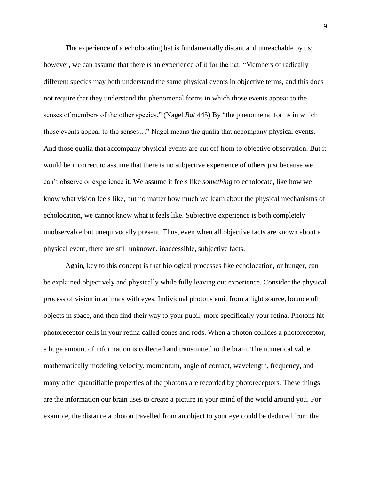The experience of a echolocating bat is fundamentally distant and unreachable by us; however, we can assume that there *is* an experience of it for the bat. "Members of radically different species may both understand the same physical events in objective terms, and this does not require that they understand the phenomenal forms in which those events appear to the senses of members of the other species." (Nagel *Bat* 445) By "the phenomenal forms in which those events appear to the senses…" Nagel means the qualia that accompany physical events. And those qualia that accompany physical events are cut off from to objective observation. But it would be incorrect to assume that there is no subjective experience of others just because we can't observe or experience it. We assume it feels like *something* to echolocate, like how we know what vision feels like, but no matter how much we learn about the physical mechanisms of echolocation, we cannot know what it feels like. Subjective experience is both completely unobservable but unequivocally present. Thus, even when all objective facts are known about a physical event, there are still unknown, inaccessible, subjective facts.

Again, key to this concept is that biological processes like echolocation, or hunger, can be explained objectively and physically while fully leaving out experience. Consider the physical process of vision in animals with eyes. Individual photons emit from a light source, bounce off objects in space, and then find their way to your pupil, more specifically your retina. Photons hit photoreceptor cells in your retina called cones and rods. When a photon collides a photoreceptor, a huge amount of information is collected and transmitted to the brain. The numerical value mathematically modeling velocity, momentum, angle of contact, wavelength, frequency, and many other quantifiable properties of the photons are recorded by photoreceptors. These things are the information our brain uses to create a picture in your mind of the world around you. For example, the distance a photon travelled from an object to your eye could be deduced from the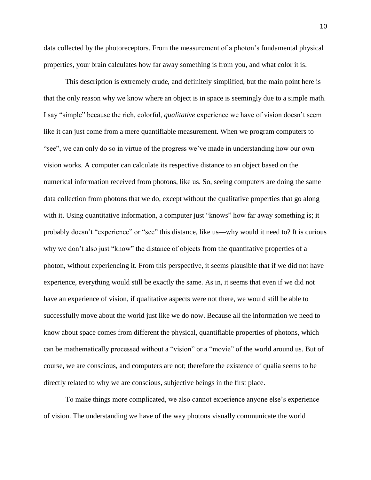data collected by the photoreceptors. From the measurement of a photon's fundamental physical properties, your brain calculates how far away something is from you, and what color it is.

This description is extremely crude, and definitely simplified, but the main point here is that the only reason why we know where an object is in space is seemingly due to a simple math. I say "simple" because the rich, colorful, *qualitative* experience we have of vision doesn't seem like it can just come from a mere quantifiable measurement. When we program computers to "see", we can only do so in virtue of the progress we've made in understanding how our own vision works. A computer can calculate its respective distance to an object based on the numerical information received from photons, like us. So, seeing computers are doing the same data collection from photons that we do, except without the qualitative properties that go along with it. Using quantitative information, a computer just "knows" how far away something is; it probably doesn't "experience" or "see" this distance, like us—why would it need to? It is curious why we don't also just "know" the distance of objects from the quantitative properties of a photon, without experiencing it. From this perspective, it seems plausible that if we did not have experience, everything would still be exactly the same. As in, it seems that even if we did not have an experience of vision, if qualitative aspects were not there, we would still be able to successfully move about the world just like we do now. Because all the information we need to know about space comes from different the physical, quantifiable properties of photons, which can be mathematically processed without a "vision" or a "movie" of the world around us. But of course, we are conscious, and computers are not; therefore the existence of qualia seems to be directly related to why we are conscious, subjective beings in the first place.

To make things more complicated, we also cannot experience anyone else's experience of vision. The understanding we have of the way photons visually communicate the world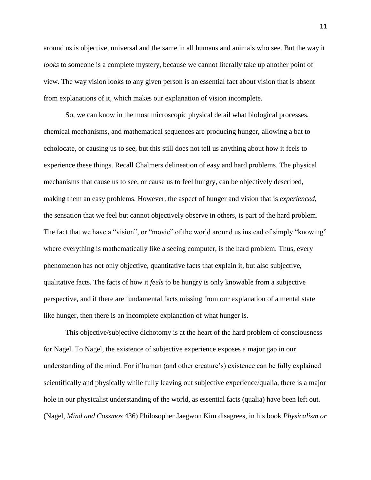around us is objective, universal and the same in all humans and animals who see. But the way it *looks* to someone is a complete mystery, because we cannot literally take up another point of view. The way vision looks to any given person is an essential fact about vision that is absent from explanations of it, which makes our explanation of vision incomplete.

So, we can know in the most microscopic physical detail what biological processes, chemical mechanisms, and mathematical sequences are producing hunger, allowing a bat to echolocate, or causing us to see, but this still does not tell us anything about how it feels to experience these things. Recall Chalmers delineation of easy and hard problems. The physical mechanisms that cause us to see, or cause us to feel hungry, can be objectively described, making them an easy problems. However, the aspect of hunger and vision that is *experienced,* the sensation that we feel but cannot objectively observe in others, is part of the hard problem. The fact that we have a "vision", or "movie" of the world around us instead of simply "knowing" where everything is mathematically like a seeing computer, is the hard problem. Thus, every phenomenon has not only objective, quantitative facts that explain it, but also subjective, qualitative facts. The facts of how it *feels* to be hungry is only knowable from a subjective perspective, and if there are fundamental facts missing from our explanation of a mental state like hunger, then there is an incomplete explanation of what hunger is.

This objective/subjective dichotomy is at the heart of the hard problem of consciousness for Nagel. To Nagel, the existence of subjective experience exposes a major gap in our understanding of the mind. For if human (and other creature's) existence can be fully explained scientifically and physically while fully leaving out subjective experience/qualia, there is a major hole in our physicalist understanding of the world, as essential facts (qualia) have been left out. (Nagel, *Mind and Cossmos* 436) Philosopher Jaegwon Kim disagrees, in his book *Physicalism or*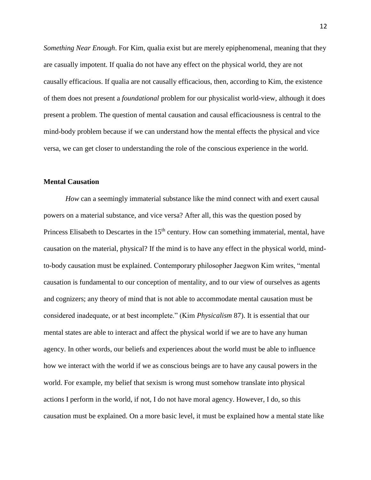*Something Near Enough*. For Kim, qualia exist but are merely epiphenomenal, meaning that they are casually impotent. If qualia do not have any effect on the physical world, they are not causally efficacious. If qualia are not causally efficacious, then, according to Kim, the existence of them does not present a *foundational* problem for our physicalist world-view, although it does present a problem. The question of mental causation and causal efficaciousness is central to the mind-body problem because if we can understand how the mental effects the physical and vice versa, we can get closer to understanding the role of the conscious experience in the world.

#### **Mental Causation**

*How* can a seemingly immaterial substance like the mind connect with and exert causal powers on a material substance, and vice versa? After all, this was the question posed by Princess Elisabeth to Descartes in the  $15<sup>th</sup>$  century. How can something immaterial, mental, have causation on the material, physical? If the mind is to have any effect in the physical world, mindto-body causation must be explained. Contemporary philosopher Jaegwon Kim writes, "mental causation is fundamental to our conception of mentality, and to our view of ourselves as agents and cognizers; any theory of mind that is not able to accommodate mental causation must be considered inadequate, or at best incomplete." (Kim *Physicalism* 87). It is essential that our mental states are able to interact and affect the physical world if we are to have any human agency. In other words, our beliefs and experiences about the world must be able to influence how we interact with the world if we as conscious beings are to have any causal powers in the world. For example, my belief that sexism is wrong must somehow translate into physical actions I perform in the world, if not, I do not have moral agency. However, I do, so this causation must be explained. On a more basic level, it must be explained how a mental state like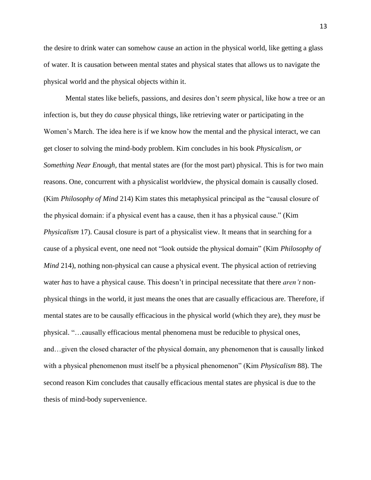the desire to drink water can somehow cause an action in the physical world, like getting a glass of water. It is causation between mental states and physical states that allows us to navigate the physical world and the physical objects within it.

Mental states like beliefs, passions, and desires don't *seem* physical, like how a tree or an infection is, but they do *cause* physical things, like retrieving water or participating in the Women's March. The idea here is if we know how the mental and the physical interact, we can get closer to solving the mind-body problem. Kim concludes in his book *Physicalism, or Something Near Enough,* that mental states are (for the most part) physical. This is for two main reasons. One, concurrent with a physicalist worldview, the physical domain is causally closed. (Kim *Philosophy of Mind* 214) Kim states this metaphysical principal as the "causal closure of the physical domain: if a physical event has a cause, then it has a physical cause." (Kim *Physicalism* 17). Causal closure is part of a physicalist view. It means that in searching for a cause of a physical event, one need not "look outside the physical domain" (Kim *Philosophy of Mind* 214), nothing non-physical can cause a physical event. The physical action of retrieving water *has* to have a physical cause. This doesn't in principal necessitate that there *aren't* nonphysical things in the world, it just means the ones that are casually efficacious are. Therefore, if mental states are to be causally efficacious in the physical world (which they are), they *must* be physical. "…causally efficacious mental phenomena must be reducible to physical ones, and…given the closed character of the physical domain, any phenomenon that is causally linked with a physical phenomenon must itself be a physical phenomenon" (Kim *Physicalism* 88). The second reason Kim concludes that causally efficacious mental states are physical is due to the thesis of mind-body supervenience.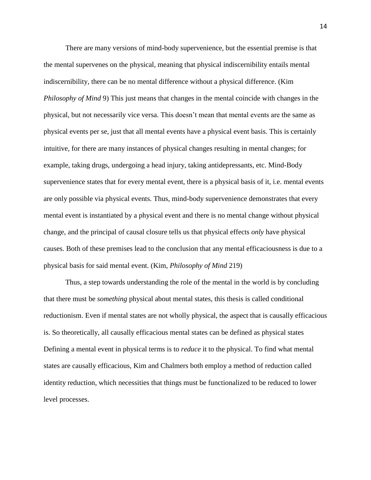There are many versions of mind-body supervenience, but the essential premise is that the mental supervenes on the physical, meaning that physical indiscernibility entails mental indiscernibility, there can be no mental difference without a physical difference. (Kim *Philosophy of Mind* 9) This just means that changes in the mental coincide with changes in the physical, but not necessarily vice versa. This doesn't mean that mental events are the same as physical events per se, just that all mental events have a physical event basis. This is certainly intuitive, for there are many instances of physical changes resulting in mental changes; for example, taking drugs, undergoing a head injury, taking antidepressants, etc. Mind-Body supervenience states that for every mental event, there is a physical basis of it, i.e. mental events are only possible via physical events. Thus, mind-body supervenience demonstrates that every mental event is instantiated by a physical event and there is no mental change without physical change, and the principal of causal closure tells us that physical effects *only* have physical causes. Both of these premises lead to the conclusion that any mental efficaciousness is due to a physical basis for said mental event. (Kim, *Philosophy of Mind* 219)

Thus, a step towards understanding the role of the mental in the world is by concluding that there must be *something* physical about mental states, this thesis is called conditional reductionism. Even if mental states are not wholly physical, the aspect that is causally efficacious is. So theoretically, all causally efficacious mental states can be defined as physical states Defining a mental event in physical terms is to *reduce* it to the physical. To find what mental states are causally efficacious, Kim and Chalmers both employ a method of reduction called identity reduction, which necessities that things must be functionalized to be reduced to lower level processes.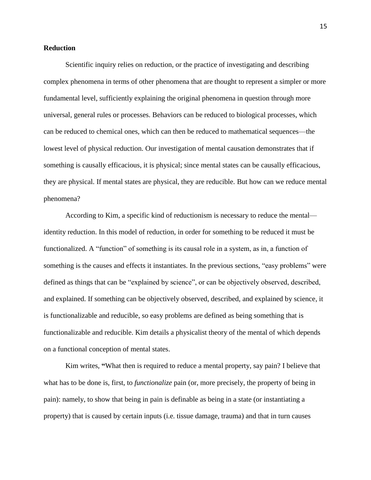#### **Reduction**

Scientific inquiry relies on reduction, or the practice of investigating and describing complex phenomena in terms of other phenomena that are thought to represent a simpler or more fundamental level, sufficiently explaining the original phenomena in question through more universal, general rules or processes. Behaviors can be reduced to biological processes, which can be reduced to chemical ones, which can then be reduced to mathematical sequences—the lowest level of physical reduction. Our investigation of mental causation demonstrates that if something is causally efficacious, it is physical; since mental states can be causally efficacious, they are physical. If mental states are physical, they are reducible. But how can we reduce mental phenomena?

According to Kim, a specific kind of reductionism is necessary to reduce the mental identity reduction. In this model of reduction, in order for something to be reduced it must be functionalized. A "function" of something is its causal role in a system, as in, a function of something is the causes and effects it instantiates. In the previous sections, "easy problems" were defined as things that can be "explained by science", or can be objectively observed, described, and explained. If something can be objectively observed, described, and explained by science, it is functionalizable and reducible, so easy problems are defined as being something that is functionalizable and reducible. Kim details a physicalist theory of the mental of which depends on a functional conception of mental states.

Kim writes, **"**What then is required to reduce a mental property, say pain? I believe that what has to be done is, first, to *functionalize* pain (or, more precisely, the property of being in pain): namely, to show that being in pain is definable as being in a state (or instantiating a property) that is caused by certain inputs (i.e. tissue damage, trauma) and that in turn causes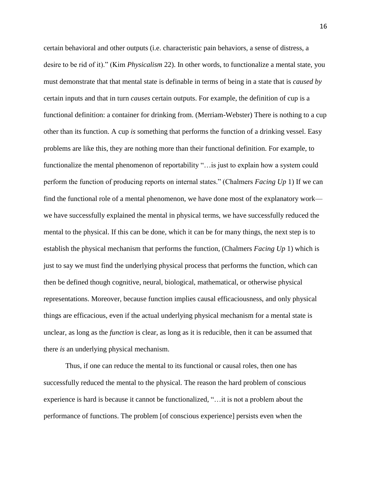certain behavioral and other outputs (i.e. characteristic pain behaviors, a sense of distress, a desire to be rid of it)." (Kim *Physicalism* 22). In other words, to functionalize a mental state, you must demonstrate that that mental state is definable in terms of being in a state that is *caused by* certain inputs and that in turn *causes* certain outputs. For example, the definition of cup is a functional definition: a container for drinking from. (Merriam-Webster) There is nothing to a cup other than its function. A cup *is* something that performs the function of a drinking vessel. Easy problems are like this, they are nothing more than their functional definition. For example, to functionalize the mental phenomenon of reportability "... is just to explain how a system could perform the function of producing reports on internal states." (Chalmers *Facing Up* 1) If we can find the functional role of a mental phenomenon, we have done most of the explanatory work we have successfully explained the mental in physical terms, we have successfully reduced the mental to the physical. If this can be done, which it can be for many things, the next step is to establish the physical mechanism that performs the function, (Chalmers *Facing Up* 1) which is just to say we must find the underlying physical process that performs the function, which can then be defined though cognitive, neural, biological, mathematical, or otherwise physical representations. Moreover, because function implies causal efficaciousness, and only physical things are efficacious, even if the actual underlying physical mechanism for a mental state is unclear, as long as the *function* is clear, as long as it is reducible, then it can be assumed that there *is* an underlying physical mechanism.

Thus, if one can reduce the mental to its functional or causal roles, then one has successfully reduced the mental to the physical. The reason the hard problem of conscious experience is hard is because it cannot be functionalized, "…it is not a problem about the performance of functions. The problem [of conscious experience] persists even when the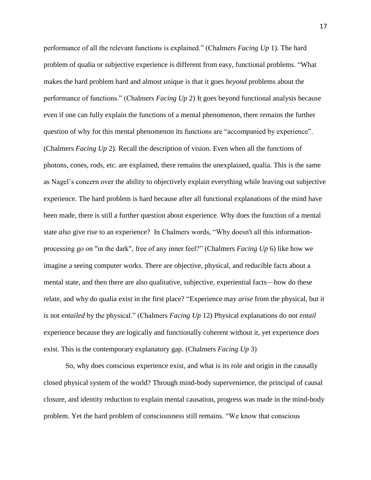performance of all the relevant functions is explained." (Chalmers *Facing Up* 1). The hard problem of qualia or subjective experience is different from easy, functional problems. "What makes the hard problem hard and almost unique is that it goes *beyond* problems about the performance of functions." (Chalmers *Facing Up* 2) It goes beyond functional analysis because even if one can fully explain the functions of a mental phenomenon, there remains the further question of why for this mental phenomenon its functions are "accompanied by experience". (Chalmers *Facing Up* 2). Recall the description of vision. Even when all the functions of photons, cones, rods, etc. are explained, there remains the unexplained, qualia. This is the same as Nagel's concern over the ability to objectively explain everything while leaving out subjective experience. The hard problem is hard because after all functional explanations of the mind have been made, there is still a further question about experience. Why does the function of a mental state *also* give rise to an experience? In Chalmers words, "Why doesn't all this informationprocessing go on "in the dark", free of any inner feel?" (Chalmers *Facing Up* 6) like how we imagine a seeing computer works. There are objective, physical, and reducible facts about a mental state, and then there are also qualitative, subjective, experiential facts—how do these relate, and why do qualia exist in the first place? "Experience may *arise* from the physical, but it is not *entailed* by the physical." (Chalmers *Facing Up* 12) Physical explanations do not *entail* experience because they are logically and functionally coherent without it, yet experience *does* exist. This is the contemporary explanatory gap. (Chalmers *Facing Up* 3)

So, why does conscious experience exist, and what is its role and origin in the causally closed physical system of the world? Through mind-body supervenience, the principal of causal closure, and identity reduction to explain mental causation, progress was made in the mind-body problem. Yet the hard problem of consciousness still remains. "We know that conscious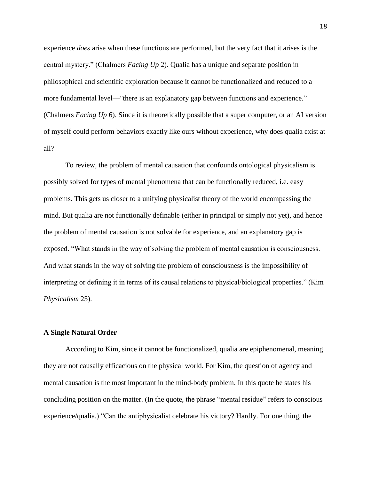experience *does* arise when these functions are performed, but the very fact that it arises is the central mystery." (Chalmers *Facing Up* 2). Qualia has a unique and separate position in philosophical and scientific exploration because it cannot be functionalized and reduced to a more fundamental level—"there is an explanatory gap between functions and experience." (Chalmers *Facing Up* 6). Since it is theoretically possible that a super computer, or an AI version of myself could perform behaviors exactly like ours without experience, why does qualia exist at all?

To review, the problem of mental causation that confounds ontological physicalism is possibly solved for types of mental phenomena that can be functionally reduced, i.e. easy problems. This gets us closer to a unifying physicalist theory of the world encompassing the mind. But qualia are not functionally definable (either in principal or simply not yet), and hence the problem of mental causation is not solvable for experience, and an explanatory gap is exposed. "What stands in the way of solving the problem of mental causation is consciousness. And what stands in the way of solving the problem of consciousness is the impossibility of interpreting or defining it in terms of its causal relations to physical/biological properties." (Kim *Physicalism* 25).

#### **A Single Natural Order**

According to Kim, since it cannot be functionalized, qualia are epiphenomenal, meaning they are not causally efficacious on the physical world. For Kim, the question of agency and mental causation is the most important in the mind-body problem. In this quote he states his concluding position on the matter. (In the quote, the phrase "mental residue" refers to conscious experience/qualia.) "Can the antiphysicalist celebrate his victory? Hardly. For one thing, the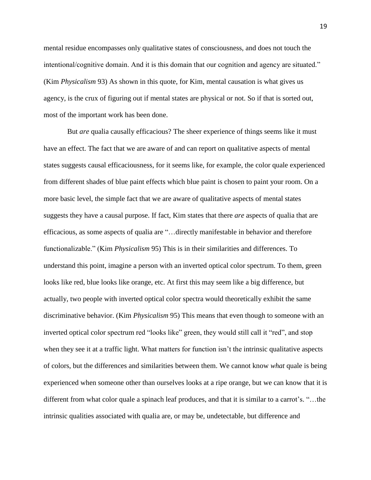mental residue encompasses only qualitative states of consciousness, and does not touch the intentional/cognitive domain. And it is this domain that our cognition and agency are situated." (Kim *Physicalism* 93) As shown in this quote, for Kim, mental causation is what gives us agency, is the crux of figuring out if mental states are physical or not. So if that is sorted out, most of the important work has been done.

But *are* qualia causally efficacious? The sheer experience of things seems like it must have an effect. The fact that we are aware of and can report on qualitative aspects of mental states suggests causal efficaciousness, for it seems like, for example, the color quale experienced from different shades of blue paint effects which blue paint is chosen to paint your room. On a more basic level, the simple fact that we are aware of qualitative aspects of mental states suggests they have a causal purpose. If fact, Kim states that there *are* aspects of qualia that are efficacious, as some aspects of qualia are "…directly manifestable in behavior and therefore functionalizable." (Kim *Physicalism* 95) This is in their similarities and differences. To understand this point, imagine a person with an inverted optical color spectrum. To them, green looks like red, blue looks like orange, etc. At first this may seem like a big difference, but actually, two people with inverted optical color spectra would theoretically exhibit the same discriminative behavior. (Kim *Physicalism* 95) This means that even though to someone with an inverted optical color spectrum red "looks like" green, they would still call it "red", and stop when they see it at a traffic light. What matters for function isn't the intrinsic qualitative aspects of colors, but the differences and similarities between them. We cannot know *what* quale is being experienced when someone other than ourselves looks at a ripe orange, but we can know that it is different from what color quale a spinach leaf produces, and that it is similar to a carrot's. "…the intrinsic qualities associated with qualia are, or may be, undetectable, but difference and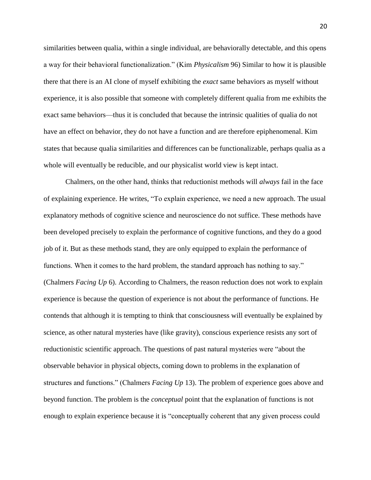similarities between qualia, within a single individual, are behaviorally detectable, and this opens a way for their behavioral functionalization." (Kim *Physicalism* 96) Similar to how it is plausible there that there is an AI clone of myself exhibiting the *exact* same behaviors as myself without experience, it is also possible that someone with completely different qualia from me exhibits the exact same behaviors—thus it is concluded that because the intrinsic qualities of qualia do not have an effect on behavior, they do not have a function and are therefore epiphenomenal. Kim states that because qualia similarities and differences can be functionalizable, perhaps qualia as a whole will eventually be reducible, and our physicalist world view is kept intact.

Chalmers, on the other hand, thinks that reductionist methods will *always* fail in the face of explaining experience. He writes, "To explain experience, we need a new approach. The usual explanatory methods of cognitive science and neuroscience do not suffice. These methods have been developed precisely to explain the performance of cognitive functions, and they do a good job of it. But as these methods stand, they are only equipped to explain the performance of functions. When it comes to the hard problem, the standard approach has nothing to say." (Chalmers *Facing Up* 6). According to Chalmers, the reason reduction does not work to explain experience is because the question of experience is not about the performance of functions. He contends that although it is tempting to think that consciousness will eventually be explained by science, as other natural mysteries have (like gravity), conscious experience resists any sort of reductionistic scientific approach. The questions of past natural mysteries were "about the observable behavior in physical objects, coming down to problems in the explanation of structures and functions." (Chalmers *Facing Up* 13). The problem of experience goes above and beyond function. The problem is the *conceptual* point that the explanation of functions is not enough to explain experience because it is "conceptually coherent that any given process could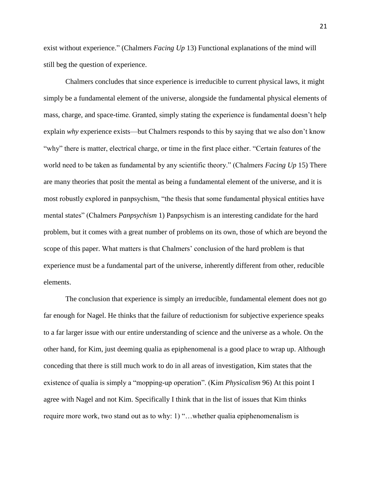exist without experience." (Chalmers *Facing Up* 13) Functional explanations of the mind will still beg the question of experience.

Chalmers concludes that since experience is irreducible to current physical laws, it might simply be a fundamental element of the universe, alongside the fundamental physical elements of mass, charge, and space-time. Granted, simply stating the experience is fundamental doesn't help explain *why* experience exists—but Chalmers responds to this by saying that we also don't know "why" there is matter, electrical charge, or time in the first place either. "Certain features of the world need to be taken as fundamental by any scientific theory." (Chalmers *Facing Up* 15) There are many theories that posit the mental as being a fundamental element of the universe, and it is most robustly explored in panpsychism, "the thesis that some fundamental physical entities have mental states" (Chalmers *Panpsychism* 1) Panpsychism is an interesting candidate for the hard problem, but it comes with a great number of problems on its own, those of which are beyond the scope of this paper. What matters is that Chalmers' conclusion of the hard problem is that experience must be a fundamental part of the universe, inherently different from other, reducible elements.

The conclusion that experience is simply an irreducible, fundamental element does not go far enough for Nagel. He thinks that the failure of reductionism for subjective experience speaks to a far larger issue with our entire understanding of science and the universe as a whole. On the other hand, for Kim, just deeming qualia as epiphenomenal is a good place to wrap up. Although conceding that there is still much work to do in all areas of investigation, Kim states that the existence of qualia is simply a "mopping-up operation". (Kim *Physicalism* 96) At this point I agree with Nagel and not Kim. Specifically I think that in the list of issues that Kim thinks require more work, two stand out as to why: 1) "…whether qualia epiphenomenalism is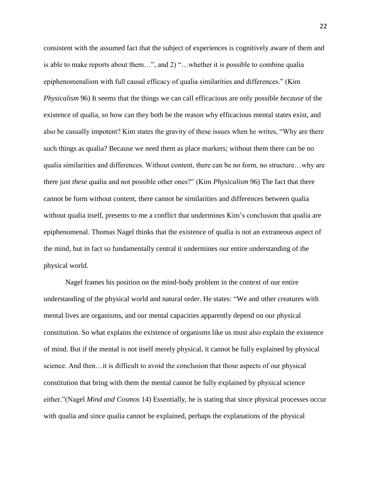consistent with the assumed fact that the subject of experiences is cognitively aware of them and is able to make reports about them…", and 2) "…whether it is possible to combine qualia epiphenomenalism with full causal efficacy of qualia similarities and differences." (Kim *Physicalism* 96) It seems that the things we can call efficacious are only possible *because* of the existence of qualia, so how can they both be the reason why efficacious mental states exist, and also be casually impotent? Kim states the gravity of these issues when he writes, "Why are there such things as qualia? Because we need them as place markers; without them there can be no qualia similarities and differences. Without content, there can be no form, no structure…why are there just *these* qualia and not possible other ones?" (Kim *Physicalism* 96) The fact that there cannot be form without content, there cannot be similarities and differences between qualia without qualia itself, presents to me a conflict that undermines Kim's conclusion that qualia are epiphenomenal. Thomas Nagel thinks that the existence of qualia is not an extraneous aspect of the mind, but in fact so fundamentally central it undermines our entire understanding of the physical world.

Nagel frames his position on the mind-body problem in the context of our entire understanding of the physical world and natural order. He states: "We and other creatures with mental lives are organisms, and our mental capacities apparently depend on our physical constitution. So what explains the existence of organisms like us must also explain the existence of mind. But if the mental is not itself merely physical, it cannot be fully explained by physical science. And then…it is difficult to avoid the conclusion that those aspects of our physical constitution that bring with them the mental cannot be fully explained by physical science either."(Nagel *Mind and Cosmos* 14) Essentially, he is stating that since physical processes occur with qualia and since qualia cannot be explained, perhaps the explanations of the physical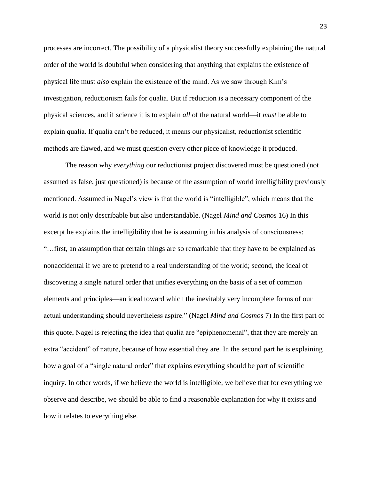processes are incorrect. The possibility of a physicalist theory successfully explaining the natural order of the world is doubtful when considering that anything that explains the existence of physical life must *also* explain the existence of the mind. As we saw through Kim's investigation, reductionism fails for qualia. But if reduction is a necessary component of the physical sciences, and if science it is to explain *all* of the natural world—it *must* be able to explain qualia. If qualia can't be reduced, it means our physicalist, reductionist scientific methods are flawed, and we must question every other piece of knowledge it produced.

The reason why *everything* our reductionist project discovered must be questioned (not assumed as false, just questioned) is because of the assumption of world intelligibility previously mentioned. Assumed in Nagel's view is that the world is "intelligible", which means that the world is not only describable but also understandable. (Nagel *Mind and Cosmos* 16) In this excerpt he explains the intelligibility that he is assuming in his analysis of consciousness: "…first, an assumption that certain things are so remarkable that they have to be explained as nonaccidental if we are to pretend to a real understanding of the world; second, the ideal of discovering a single natural order that unifies everything on the basis of a set of common elements and principles—an ideal toward which the inevitably very incomplete forms of our actual understanding should nevertheless aspire." (Nagel *Mind and Cosmos* 7) In the first part of this quote, Nagel is rejecting the idea that qualia are "epiphenomenal", that they are merely an extra "accident" of nature, because of how essential they are. In the second part he is explaining how a goal of a "single natural order" that explains everything should be part of scientific inquiry. In other words, if we believe the world is intelligible, we believe that for everything we observe and describe, we should be able to find a reasonable explanation for why it exists and how it relates to everything else.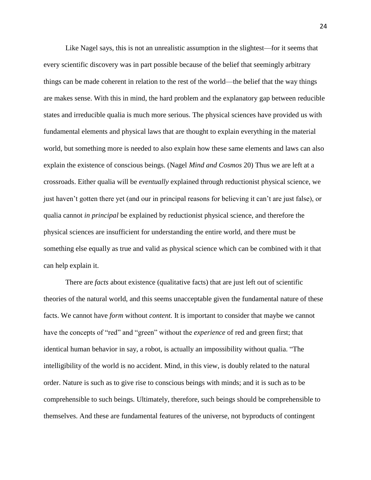Like Nagel says, this is not an unrealistic assumption in the slightest—for it seems that every scientific discovery was in part possible because of the belief that seemingly arbitrary things can be made coherent in relation to the rest of the world—the belief that the way things are makes sense. With this in mind, the hard problem and the explanatory gap between reducible states and irreducible qualia is much more serious. The physical sciences have provided us with fundamental elements and physical laws that are thought to explain everything in the material world, but something more is needed to also explain how these same elements and laws can also explain the existence of conscious beings. (Nagel *Mind and Cosmos* 20) Thus we are left at a crossroads. Either qualia will be *eventually* explained through reductionist physical science, we just haven't gotten there yet (and our in principal reasons for believing it can't are just false), or qualia cannot *in principal* be explained by reductionist physical science, and therefore the physical sciences are insufficient for understanding the entire world, and there must be something else equally as true and valid as physical science which can be combined with it that can help explain it.

There are *facts* about existence (qualitative facts) that are just left out of scientific theories of the natural world, and this seems unacceptable given the fundamental nature of these facts. We cannot have *form* without *content.* It is important to consider that maybe we cannot have the concepts of "red" and "green" without the *experience* of red and green first; that identical human behavior in say, a robot, is actually an impossibility without qualia. "The intelligibility of the world is no accident. Mind, in this view, is doubly related to the natural order. Nature is such as to give rise to conscious beings with minds; and it is such as to be comprehensible to such beings. Ultimately, therefore, such beings should be comprehensible to themselves. And these are fundamental features of the universe, not byproducts of contingent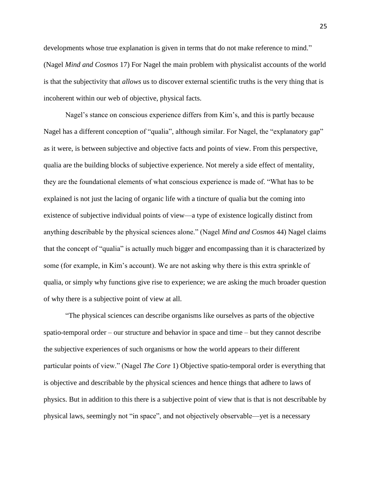developments whose true explanation is given in terms that do not make reference to mind." (Nagel *Mind and Cosmos* 17) For Nagel the main problem with physicalist accounts of the world is that the subjectivity that *allows* us to discover external scientific truths is the very thing that is incoherent within our web of objective, physical facts.

Nagel's stance on conscious experience differs from Kim's, and this is partly because Nagel has a different conception of "qualia", although similar. For Nagel, the "explanatory gap" as it were, is between subjective and objective facts and points of view. From this perspective, qualia are the building blocks of subjective experience. Not merely a side effect of mentality, they are the foundational elements of what conscious experience is made of. "What has to be explained is not just the lacing of organic life with a tincture of qualia but the coming into existence of subjective individual points of view—a type of existence logically distinct from anything describable by the physical sciences alone." (Nagel *Mind and Cosmos* 44) Nagel claims that the concept of "qualia" is actually much bigger and encompassing than it is characterized by some (for example, in Kim's account). We are not asking why there is this extra sprinkle of qualia, or simply why functions give rise to experience; we are asking the much broader question of why there is a subjective point of view at all.

"The physical sciences can describe organisms like ourselves as parts of the objective spatio-temporal order – our structure and behavior in space and time – but they cannot describe the subjective experiences of such organisms or how the world appears to their different particular points of view." (Nagel *The Core* 1) Objective spatio-temporal order is everything that is objective and describable by the physical sciences and hence things that adhere to laws of physics. But in addition to this there is a subjective point of view that is that is not describable by physical laws, seemingly not "in space", and not objectively observable—yet is a necessary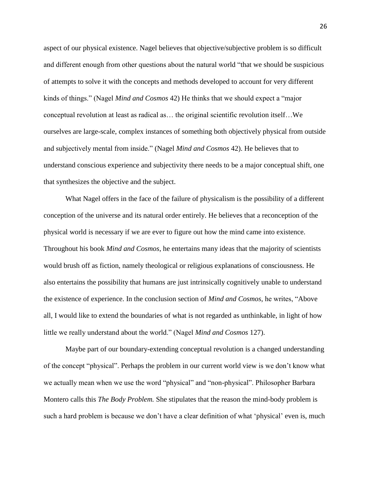aspect of our physical existence. Nagel believes that objective/subjective problem is so difficult and different enough from other questions about the natural world "that we should be suspicious of attempts to solve it with the concepts and methods developed to account for very different kinds of things." (Nagel *Mind and Cosmos* 42) He thinks that we should expect a "major conceptual revolution at least as radical as… the original scientific revolution itself…We ourselves are large-scale, complex instances of something both objectively physical from outside and subjectively mental from inside." (Nagel *Mind and Cosmos* 42). He believes that to understand conscious experience and subjectivity there needs to be a major conceptual shift, one that synthesizes the objective and the subject.

What Nagel offers in the face of the failure of physicalism is the possibility of a different conception of the universe and its natural order entirely. He believes that a reconception of the physical world is necessary if we are ever to figure out how the mind came into existence. Throughout his book *Mind and Cosmos*, he entertains many ideas that the majority of scientists would brush off as fiction, namely theological or religious explanations of consciousness. He also entertains the possibility that humans are just intrinsically cognitively unable to understand the existence of experience. In the conclusion section of *Mind and Cosmos,* he writes, "Above all, I would like to extend the boundaries of what is not regarded as unthinkable, in light of how little we really understand about the world." (Nagel *Mind and Cosmos* 127).

Maybe part of our boundary-extending conceptual revolution is a changed understanding of the concept "physical". Perhaps the problem in our current world view is we don't know what we actually mean when we use the word "physical" and "non-physical". Philosopher Barbara Montero calls this *The Body Problem.* She stipulates that the reason the mind-body problem is such a hard problem is because we don't have a clear definition of what 'physical' even is, much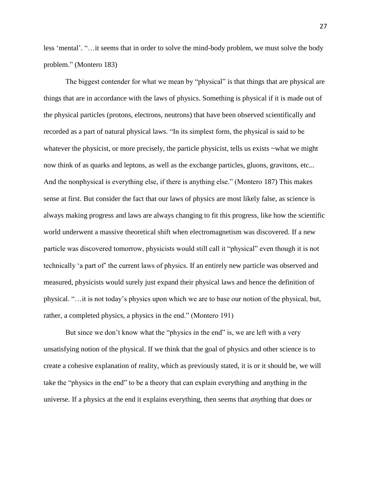less 'mental'. "…it seems that in order to solve the mind-body problem, we must solve the body problem." (Montero 183)

The biggest contender for what we mean by "physical" is that things that are physical are things that are in accordance with the laws of physics. Something is physical if it is made out of the physical particles (protons, electrons, neutrons) that have been observed scientifically and recorded as a part of natural physical laws. "In its simplest form, the physical is said to be whatever the physicist, or more precisely, the particle physicist, tells us exists  $\sim$ what we might now think of as quarks and leptons, as well as the exchange particles, gluons, gravitons, etc... And the nonphysical is everything else, if there is anything else." (Montero 187) This makes sense at first. But consider the fact that our laws of physics are most likely false, as science is always making progress and laws are always changing to fit this progress, like how the scientific world underwent a massive theoretical shift when electromagnetism was discovered. If a new particle was discovered tomorrow, physicists would still call it "physical" even though it is not technically 'a part of' the current laws of physics. If an entirely new particle was observed and measured, physicists would surely just expand their physical laws and hence the definition of physical. "…it is not today's physics upon which we are to base our notion of the physical, but, rather, a completed physics, a physics in the end." (Montero 191)

But since we don't know what the "physics in the end" is, we are left with a very unsatisfying notion of the physical. If we think that the goal of physics and other science is to create a cohesive explanation of reality, which as previously stated, it is or it should be, we will take the "physics in the end" to be a theory that can explain everything and anything in the universe. If a physics at the end it explains everything, then seems that *any*thing that does or

27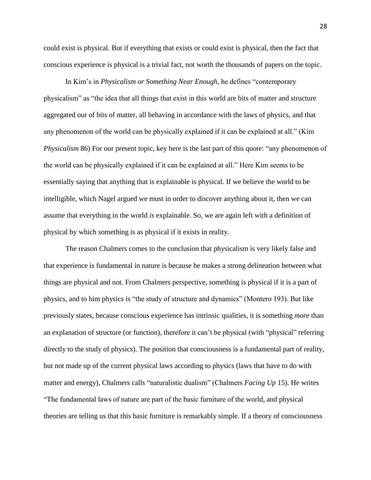could exist is physical. But if everything that exists or could exist is physical, then the fact that conscious experience is physical is a trivial fact, not worth the thousands of papers on the topic.

In Kim's in *Physicalism or Something Near Enough,* he defines "contemporary physicalism" as "the idea that all things that exist in this world are bits of matter and structure aggregated our of bits of matter, all behaving in accordance with the laws of physics, and that any phenomenon of the world can be physically explained if it can be explained at all." (Kim *Physicalism* 86) For our present topic, key here is the last part of this quote: "any phenomenon of the world can be physically explained if it can be explained at all." Here Kim seems to be essentially saying that anything that is explainable is physical. If we believe the world to be intelligible, which Nagel argued we must in order to discover anything about it, then we can assume that everything in the world *is* explainable. So, we are again left with a definition of physical by which something is as physical if it exists in reality.

The reason Chalmers comes to the conclusion that physicalism is very likely false and that experience is fundamental in nature is because he makes a strong delineation between what things are physical and not. From Chalmers perspective, something is physical if it is a part of physics, and to him physics is "the study of structure and dynamics" (Montero 193). But like previously states, because conscious experience has intrinsic qualities, it is something *more* than an explanation of structure (or function), therefore it can't be physical (with "physical" referring directly to the study of physics). The position that consciousness is a fundamental part of reality, but not made up of the current physical laws according to physics (laws that have to do with matter and energy), Chalmers calls "naturalistic dualism" (Chalmers *Facing Up* 15). He writes "The fundamental laws of nature are part of the basic furniture of the world, and physical theories are telling us that this basic furniture is remarkably simple. If a theory of consciousness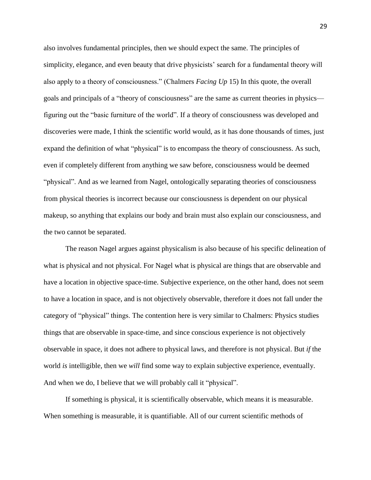also involves fundamental principles, then we should expect the same. The principles of simplicity, elegance, and even beauty that drive physicists' search for a fundamental theory will also apply to a theory of consciousness." (Chalmers *Facing Up* 15) In this quote, the overall goals and principals of a "theory of consciousness" are the same as current theories in physics figuring out the "basic furniture of the world". If a theory of consciousness was developed and discoveries were made, I think the scientific world would, as it has done thousands of times, just expand the definition of what "physical" is to encompass the theory of consciousness. As such, even if completely different from anything we saw before, consciousness would be deemed "physical". And as we learned from Nagel, ontologically separating theories of consciousness from physical theories is incorrect because our consciousness is dependent on our physical makeup, so anything that explains our body and brain must also explain our consciousness, and the two cannot be separated.

The reason Nagel argues against physicalism is also because of his specific delineation of what is physical and not physical. For Nagel what is physical are things that are observable and have a location in objective space-time. Subjective experience, on the other hand, does not seem to have a location in space, and is not objectively observable, therefore it does not fall under the category of "physical" things. The contention here is very similar to Chalmers: Physics studies things that are observable in space-time, and since conscious experience is not objectively observable in space, it does not adhere to physical laws, and therefore is not physical. But *if* the world *is* intelligible, then we *will* find some way to explain subjective experience, eventually. And when we do, I believe that we will probably call it "physical".

If something is physical, it is scientifically observable, which means it is measurable. When something is measurable, it is quantifiable. All of our current scientific methods of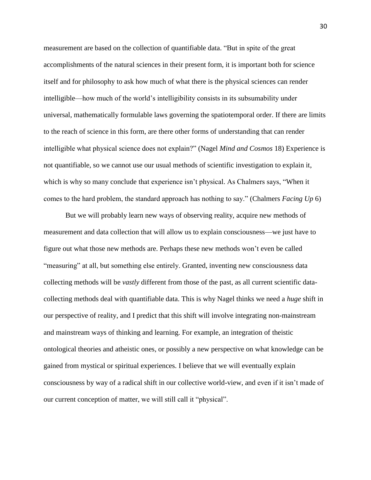measurement are based on the collection of quantifiable data. "But in spite of the great accomplishments of the natural sciences in their present form, it is important both for science itself and for philosophy to ask how much of what there is the physical sciences can render intelligible—how much of the world's intelligibility consists in its subsumability under universal, mathematically formulable laws governing the spatiotemporal order. If there are limits to the reach of science in this form, are there other forms of understanding that can render intelligible what physical science does not explain?" (Nagel *Mind and Cosmos* 18) Experience is not quantifiable, so we cannot use our usual methods of scientific investigation to explain it, which is why so many conclude that experience isn't physical. As Chalmers says, "When it comes to the hard problem, the standard approach has nothing to say." (Chalmers *Facing Up* 6)

But we will probably learn new ways of observing reality, acquire new methods of measurement and data collection that will allow us to explain consciousness—we just have to figure out what those new methods are. Perhaps these new methods won't even be called "measuring" at all, but something else entirely. Granted, inventing new consciousness data collecting methods will be *vastly* different from those of the past, as all current scientific datacollecting methods deal with quantifiable data. This is why Nagel thinks we need a *huge* shift in our perspective of reality, and I predict that this shift will involve integrating non-mainstream and mainstream ways of thinking and learning. For example, an integration of theistic ontological theories and atheistic ones, or possibly a new perspective on what knowledge can be gained from mystical or spiritual experiences. I believe that we will eventually explain consciousness by way of a radical shift in our collective world-view, and even if it isn't made of our current conception of matter, we will still call it "physical".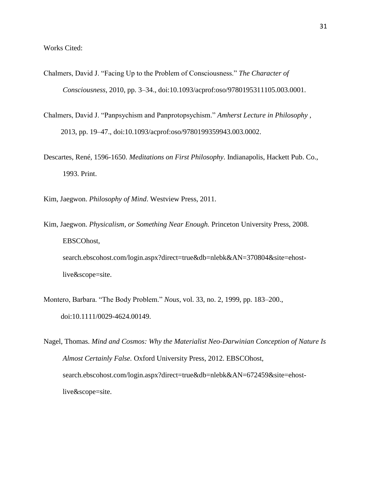- Chalmers, David J. "Facing Up to the Problem of Consciousness." *The Character of Consciousness*, 2010, pp. 3–34., doi:10.1093/acprof:oso/9780195311105.003.0001.
- Chalmers, David J. "Panpsychism and Panprotopsychism." *Amherst Lecture in Philosophy* , 2013, pp. 19–47., doi:10.1093/acprof:oso/9780199359943.003.0002.
- Descartes, René, 1596-1650. *Meditations on First Philosophy*. Indianapolis, Hackett Pub. Co., 1993. Print.
- Kim, Jaegwon. *Philosophy of Mind*. Westview Press, 2011.
- Kim, Jaegwon. *Physicalism, or Something Near Enough.* Princeton University Press, 2008. EBSCOhost, search.ebscohost.com/login.aspx?direct=true&db=nlebk&AN=370804&site=ehostlive&scope=site.
- Montero, Barbara. "The Body Problem." *Nous*, vol. 33, no. 2, 1999, pp. 183–200., doi:10.1111/0029-4624.00149.
- Nagel, Thomas. *Mind and Cosmos: Why the Materialist Neo-Darwinian Conception of Nature Is Almost Certainly False.* Oxford University Press, 2012. EBSCOhost, search.ebscohost.com/login.aspx?direct=true&db=nlebk&AN=672459&site=ehostlive&scope=site.